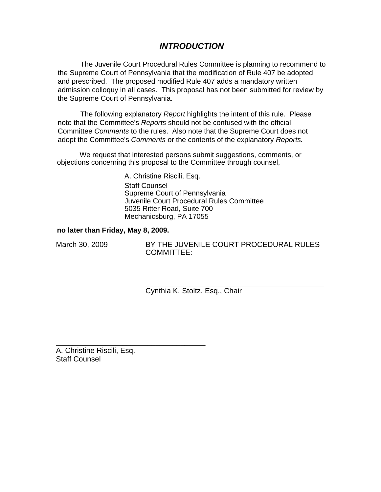# *INTRODUCTION*

The Juvenile Court Procedural Rules Committee is planning to recommend to the Supreme Court of Pennsylvania that the modification of Rule 407 be adopted and prescribed. The proposed modified Rule 407 adds a mandatory written admission colloquy in all cases. This proposal has not been submitted for review by the Supreme Court of Pennsylvania.

The following explanatory *Report* highlights the intent of this rule. Please note that the Committee's *Reports* should not be confused with the official Committee *Comments* to the rules. Also note that the Supreme Court does not adopt the Committee's *Comments* or the contents of the explanatory *Reports.* 

We request that interested persons submit suggestions, comments, or objections concerning this proposal to the Committee through counsel,

> A. Christine Riscili, Esq. Staff Counsel Supreme Court of Pennsylvania Juvenile Court Procedural Rules Committee 5035 Ritter Road, Suite 700 Mechanicsburg, PA 17055

#### **no later than Friday, May 8, 2009.**

March 30, 2009 BY THE JUVENILE COURT PROCEDURAL RULES COMMITTEE:

> **\_\_\_\_\_\_\_\_\_\_\_\_\_\_\_\_\_\_\_\_\_\_\_\_\_\_\_\_\_\_\_\_\_\_\_\_\_\_\_\_\_\_\_**  Cynthia K. Stoltz, Esq., Chair

A. Christine Riscili, Esq. Staff Counsel

\_\_\_\_\_\_\_\_\_\_\_\_\_\_\_\_\_\_\_\_\_\_\_\_\_\_\_\_\_\_\_\_\_\_\_\_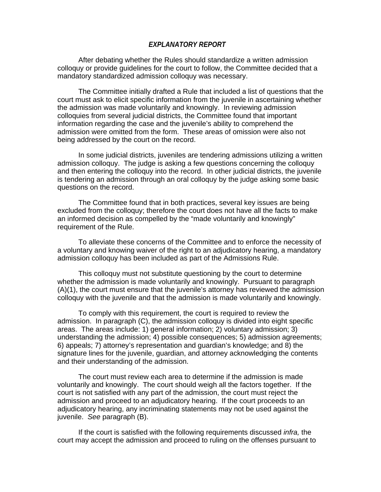#### *EXPLANATORY REPORT*

 After debating whether the Rules should standardize a written admission colloquy or provide guidelines for the court to follow, the Committee decided that a mandatory standardized admission colloquy was necessary.

The Committee initially drafted a Rule that included a list of questions that the court must ask to elicit specific information from the juvenile in ascertaining whether the admission was made voluntarily and knowingly. In reviewing admission colloquies from several judicial districts, the Committee found that important information regarding the case and the juvenile's ability to comprehend the admission were omitted from the form. These areas of omission were also not being addressed by the court on the record.

In some judicial districts, juveniles are tendering admissions utilizing a written admission colloquy. The judge is asking a few questions concerning the colloquy and then entering the colloquy into the record. In other judicial districts, the juvenile is tendering an admission through an oral colloquy by the judge asking some basic questions on the record.

The Committee found that in both practices, several key issues are being excluded from the colloquy; therefore the court does not have all the facts to make an informed decision as compelled by the "made voluntarily and knowingly" requirement of the Rule.

To alleviate these concerns of the Committee and to enforce the necessity of a voluntary and knowing waiver of the right to an adjudicatory hearing, a mandatory admission colloquy has been included as part of the Admissions Rule.

This colloquy must not substitute questioning by the court to determine whether the admission is made voluntarily and knowingly. Pursuant to paragraph (A)(1), the court must ensure that the juvenile's attorney has reviewed the admission colloquy with the juvenile and that the admission is made voluntarily and knowingly.

To comply with this requirement, the court is required to review the admission. In paragraph (C), the admission colloquy is divided into eight specific areas. The areas include: 1) general information; 2) voluntary admission; 3) understanding the admission; 4) possible consequences; 5) admission agreements; 6) appeals; 7) attorney's representation and guardian's knowledge; and 8) the signature lines for the juvenile, guardian, and attorney acknowledging the contents and their understanding of the admission.

The court must review each area to determine if the admission is made voluntarily and knowingly. The court should weigh all the factors together. If the court is not satisfied with any part of the admission, the court must reject the admission and proceed to an adjudicatory hearing. If the court proceeds to an adjudicatory hearing, any incriminating statements may not be used against the juvenile. *See* paragraph (B).

If the court is satisfied with the following requirements discussed *infra,* the court may accept the admission and proceed to ruling on the offenses pursuant to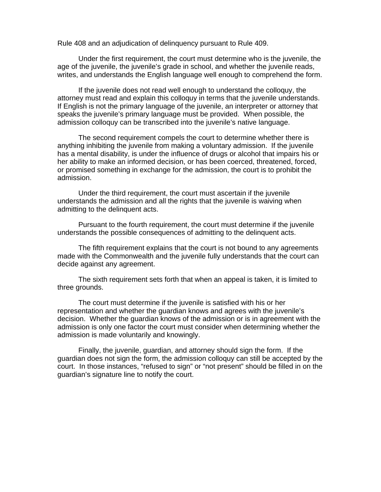Rule 408 and an adjudication of delinquency pursuant to Rule 409.

Under the first requirement, the court must determine who is the juvenile, the age of the juvenile, the juvenile's grade in school, and whether the juvenile reads, writes, and understands the English language well enough to comprehend the form.

If the juvenile does not read well enough to understand the colloquy, the attorney must read and explain this colloquy in terms that the juvenile understands. If English is not the primary language of the juvenile, an interpreter or attorney that speaks the juvenile's primary language must be provided. When possible, the admission colloquy can be transcribed into the juvenile's native language.

The second requirement compels the court to determine whether there is anything inhibiting the juvenile from making a voluntary admission. If the juvenile has a mental disability, is under the influence of drugs or alcohol that impairs his or her ability to make an informed decision, or has been coerced, threatened, forced, or promised something in exchange for the admission, the court is to prohibit the admission.

Under the third requirement, the court must ascertain if the juvenile understands the admission and all the rights that the juvenile is waiving when admitting to the delinquent acts.

Pursuant to the fourth requirement, the court must determine if the juvenile understands the possible consequences of admitting to the delinquent acts.

The fifth requirement explains that the court is not bound to any agreements made with the Commonwealth and the juvenile fully understands that the court can decide against any agreement.

The sixth requirement sets forth that when an appeal is taken, it is limited to three grounds.

The court must determine if the juvenile is satisfied with his or her representation and whether the guardian knows and agrees with the juvenile's decision. Whether the guardian knows of the admission or is in agreement with the admission is only one factor the court must consider when determining whether the admission is made voluntarily and knowingly.

Finally, the juvenile, guardian, and attorney should sign the form. If the guardian does not sign the form, the admission colloquy can still be accepted by the court. In those instances, "refused to sign" or "not present" should be filled in on the guardian's signature line to notify the court.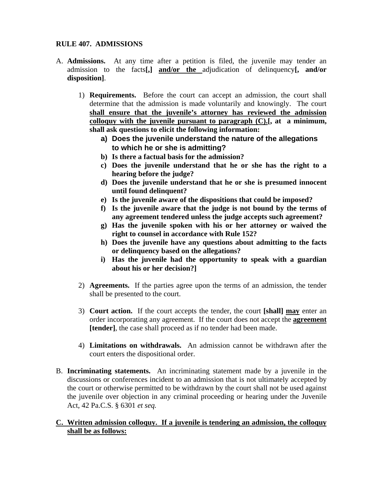# **RULE 407. ADMISSIONS**

- A. **Admissions.** At any time after a petition is filed, the juvenile may tender an admission to the facts**[,] and/or the** adjudication of delinquency**[, and/or disposition]**.
	- 1) **Requirements.** Before the court can accept an admission, the court shall determine that the admission is made voluntarily and knowingly. The court **shall ensure that the juvenile's attorney has reviewed the admission colloquy with the juvenile pursuant to paragraph (C).[, at a minimum, shall ask questions to elicit the following information:** 
		- **a) Does the juvenile understand the nature of the allegations to which he or she is admitting?**
		- **b) Is there a factual basis for the admission?**
		- **c) Does the juvenile understand that he or she has the right to a hearing before the judge?**
		- **d) Does the juvenile understand that he or she is presumed innocent until found delinquent?**
		- **e) Is the juvenile aware of the dispositions that could be imposed?**
		- **f) Is the juvenile aware that the judge is not bound by the terms of any agreement tendered unless the judge accepts such agreement?**
		- **g) Has the juvenile spoken with his or her attorney or waived the right to counsel in accordance with Rule 152?**
		- **h) Does the juvenile have any questions about admitting to the facts or delinquency based on the allegations?**
		- **i) Has the juvenile had the opportunity to speak with a guardian about his or her decision?]**
	- 2) **Agreements.** If the parties agree upon the terms of an admission, the tender shall be presented to the court.
	- 3) **Court action.** If the court accepts the tender, the court **[shall] may** enter an order incorporating any agreement. If the court does not accept the **agreement [tender]**, the case shall proceed as if no tender had been made.
	- 4) **Limitations on withdrawals.** An admission cannot be withdrawn after the court enters the dispositional order.
- B. **Incriminating statements.** An incriminating statement made by a juvenile in the discussions or conferences incident to an admission that is not ultimately accepted by the court or otherwise permitted to be withdrawn by the court shall not be used against the juvenile over objection in any criminal proceeding or hearing under the Juvenile Act, 42 Pa.C.S. § 6301 *et seq.*

# **C. Written admission colloquy. If a juvenile is tendering an admission, the colloquy shall be as follows:**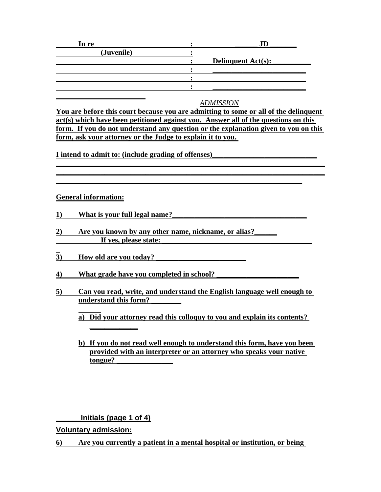| In re      |                           |
|------------|---------------------------|
| (Juvenile) |                           |
|            | <b>Delinquent Act(s):</b> |
|            |                           |
|            |                           |
|            |                           |
|            |                           |

#### *ADMISSION*

**You are before this court because you are admitting to some or all of the delinquent act(s) which have been petitioned against you. Answer all of the questions on this form. If you do not understand any question or the explanation given to you on this form, ask your attorney or the Judge to explain it to you.** 

**\_\_\_\_\_\_\_\_\_\_\_\_\_\_\_\_\_\_\_\_\_\_\_\_\_\_\_\_\_\_\_\_\_\_\_\_\_\_\_\_\_\_\_\_\_\_\_\_\_\_\_\_\_\_\_\_\_\_\_\_\_\_\_\_\_\_\_\_\_\_\_\_ \_\_\_\_\_\_\_\_\_\_\_\_\_\_\_\_\_\_\_\_\_\_\_\_\_\_\_\_\_\_\_\_\_\_\_\_\_\_\_\_\_\_\_\_\_\_\_\_\_\_\_\_\_\_\_\_\_\_\_\_\_\_\_\_\_\_\_\_\_\_\_\_**

**\_\_\_\_\_\_\_\_\_\_\_\_\_\_\_\_\_\_\_\_\_\_\_\_\_\_\_\_\_\_\_\_\_\_\_\_\_\_\_\_\_\_\_\_\_\_\_\_\_\_\_\_\_\_\_\_\_\_\_\_\_\_\_\_\_\_**

**I** intend to admit to: (include grading of offenses)

#### **General information:**

- 1) What is your full legal name?
- **2) Are you known by any other name, nickname, or alias?\_\_\_\_\_\_** If yes, please state:
- 3) **How old are you today?**
- **4) What grade have you completed in school? \_\_\_\_\_\_\_\_\_\_\_\_\_\_\_\_\_\_\_\_\_\_**
- **5) Can you read, write, and understand the English language well enough to understand this form? \_\_\_\_\_\_\_\_**
	- **a) Did your attorney read this colloquy to you and explain its contents?**
	- **b) If you do not read well enough to understand this form, have you been provided with an interpreter or an attorney who speaks your native tongue? \_\_\_\_\_\_\_\_\_\_\_\_\_\_\_**

**\_\_\_\_\_\_Initials (page 1 of 4)**

**\_\_\_\_\_\_\_\_\_\_\_\_\_**

**Voluntary admission:**

**6) Are you currently a patient in a mental hospital or institution, or being**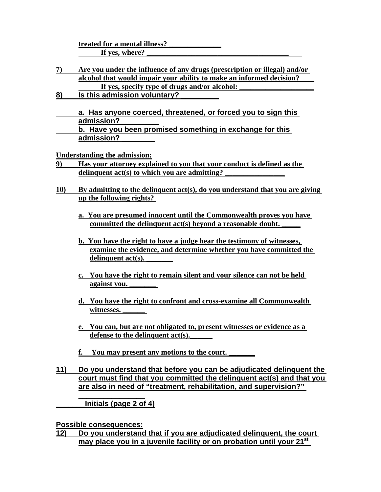**treated for a mental illness? \_\_\_\_\_\_\_\_\_\_\_\_\_\_** If yes, where?

- **7) Are you under the influence of any drugs (prescription or illegal) and/or alcohol that would impair your ability to make an informed decision?\_\_\_\_** If ves, specify type of drugs and/or alcohol:
- **8) Is this admission voluntary? \_\_\_\_\_\_\_\_\_**
- **a. Has anyone coerced, threatened, or forced you to sign this admission? \_\_\_\_\_\_\_\_\_ b. Have you been promised something in exchange for this admission? \_\_\_\_\_\_\_\_**

**Understanding the admission:**

- **9) Has your attorney explained to you that your conduct is defined as the**  delinquent act(s) to which you are admitting?
- **10) By admitting to the delinquent act(s), do you understand that you are giving up the following rights?** 
	- **a. You are presumed innocent until the Commonwealth proves you have**  committed the delinquent act(s) beyond a reasonable doubt.
	- **b. You have the right to have a judge hear the testimony of witnesses, examine the evidence, and determine whether you have committed the**  delinquent act(s).
	- **c. You have the right to remain silent and your silence can not be held against you. \_\_\_\_\_\_\_**
	- **d. You have the right to confront and cross-examine all Commonwealth**  witnesses.
	- **e. You can, but are not obligated to, present witnesses or evidence as a**  defense to the delinquent act(s).
	- **f. You may present any motions to the court. \_\_\_\_\_\_\_**
- **11) Do you understand that before you can be adjudicated delinquent the court must find that you committed the delinquent act(s) and that you are also in need of "treatment, rehabilitation, and supervision?"**

**\_\_\_\_\_\_\_Initials (page 2 of 4)**

**\_\_\_\_\_\_\_\_\_\_\_\_\_\_\_\_**

**Possible consequences:**

**12) Do you understand that if you are adjudicated delinquent, the court may place you in a juvenile facility or on probation until your 21st**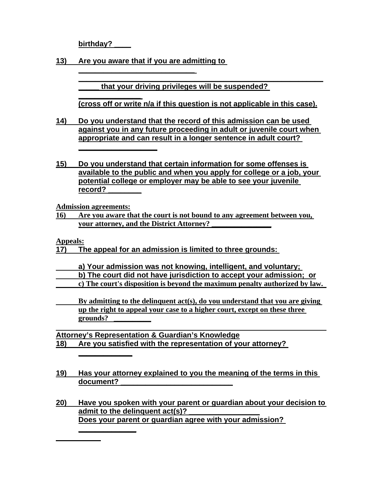**birthday? \_\_\_\_**

**\_\_\_\_\_\_\_\_\_\_\_\_\_\_\_** 

**\_\_\_\_\_\_\_\_\_\_\_\_\_\_\_\_\_\_\_**

**13) Are you aware that if you are admitting to** 

**\_\_\_\_\_\_\_\_\_\_\_\_\_\_\_\_\_\_\_\_\_\_\_\_\_\_\_\_** 

**\_\_\_\_\_\_\_\_\_\_\_\_\_\_\_\_\_\_\_\_\_\_\_\_\_\_\_\_\_\_\_\_\_\_\_\_\_\_\_\_\_\_\_\_\_\_\_\_\_\_\_\_\_\_\_\_\_\_\_ \_\_\_\_\_ that your driving privileges will be suspended?** 

**(cross off or write n/a if this question is not applicable in this case).**

- **14) Do you understand that the record of this admission can be used against you in any future proceeding in adult or juvenile court when appropriate and can result in a longer sentence in adult court?**
- **15) Do you understand that certain information for some offenses is available to the public and when you apply for college or a job, your potential college or employer may be able to see your juvenile record? \_\_\_\_\_\_\_\_**

**Admission agreements:**

**\_\_\_\_\_\_\_\_\_\_\_\_\_**

**16) Are you aware that the court is not bound to any agreement between you, your attorney, and the District Attorney? \_\_\_\_\_\_\_\_\_\_\_\_\_\_\_\_**

**Appeals:**

**17) The appeal for an admission is limited to three grounds:** 

- **a) Your admission was not knowing, intelligent, and voluntary; b) The court did not have jurisdiction to accept your admission; or c) The court's disposition is beyond the maximum penalty authorized by law.**
- **By admitting to the delinquent act(s), do you understand that you are giving up the right to appeal your case to a higher court, except on these three grounds? \_\_\_\_\_\_\_\_\_\_**

 **Attorney's Representation & Guardian's Knowledge 18) Are you satisfied with the representation of your attorney?** 

- **19) Has your attorney explained to you the meaning of the terms in this**  document?
- **20) Have you spoken with your parent or guardian about your decision to**  admit to the delinquent act(s)? **Does your parent or guardian agree with your admission? \_\_\_\_\_\_\_\_\_\_\_\_\_\_**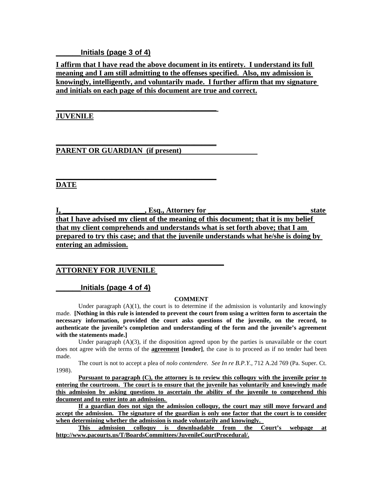## **\_\_\_\_\_\_Initials (page 3 of 4)**

**I affirm that I have read the above document in its entirety. I understand its full meaning and I am still admitting to the offenses specified. Also, my admission is knowingly, intelligently, and voluntarily made. I further affirm that my signature and initials on each page of this document are true and correct.**

## **JUVENILE**

**PARENT OR GUARDIAN (if present)** 

**\_\_\_\_\_\_\_\_\_\_\_\_\_\_\_\_\_\_\_\_\_\_\_\_\_\_\_\_\_\_\_\_\_\_\_\_\_\_\_\_\_\_\_** 

**\_\_\_\_\_\_\_\_\_\_\_\_\_\_\_\_\_\_\_\_\_\_\_\_\_\_\_\_\_\_\_\_\_\_\_\_\_\_\_\_\_\_\_**

**\_\_\_\_\_\_\_\_\_\_\_\_\_\_\_\_\_\_\_\_\_\_\_\_\_\_\_\_\_\_\_\_\_\_\_\_\_\_\_\_\_\_\_**

**\_\_\_\_\_\_\_\_\_\_\_\_\_\_\_\_\_\_\_\_\_\_\_\_\_\_\_\_\_\_\_\_\_\_\_\_\_\_\_\_\_\_\_\_\_**

# **DATE**

**I,** the state state state state state state state state state state state state state state state state state state state state state state state state state state state state state state state state state state state sta **that I have advised my client of the meaning of this document; that it is my belief that my client comprehends and understands what is set forth above; that I am prepared to try this case; and that the juvenile understands what he/she is doing by entering an admission.**

# **ATTORNEY FOR JUVENILE**

## **\_\_\_\_\_\_Initials (page 4 of 4)**

#### **COMMENT**

Under paragraph  $(A)(1)$ , the court is to determine if the admission is voluntarily and knowingly made. **[Nothing in this rule is intended to prevent the court from using a written form to ascertain the necessary information, provided the court asks questions of the juvenile, on the record, to authenticate the juvenile's completion and understanding of the form and the juvenile's agreement with the statements made.]**

Under paragraph  $(A)(3)$ , if the disposition agreed upon by the parties is unavailable or the court does not agree with the terms of the **agreement [tender]**, the case is to proceed as if no tender had been made.

The court is not to accept a plea of *nolo contendere. See In re B.P.Y.*, 712 A.2d 769 (Pa. Super. Ct. 1998).

**Pursuant to paragraph (C), the attorney is to review this colloquy with the juvenile prior to entering the courtroom. The court is to ensure that the juvenile has voluntarily and knowingly made this admission by asking questions to ascertain the ability of the juvenile to comprehend this document and to enter into an admission.** 

**If a guardian does not sign the admission colloquy, the court may still move forward and accept the admission. The signature of the guardian is only one factor that the court is to consider when determining whether the admission is made voluntarily and knowingly.** 

**This admission colloquy is downloadable from the Court's webpage at http://www.pacourts.us/T/BoardsCommittees/JuvenileCourtProcedural/.**